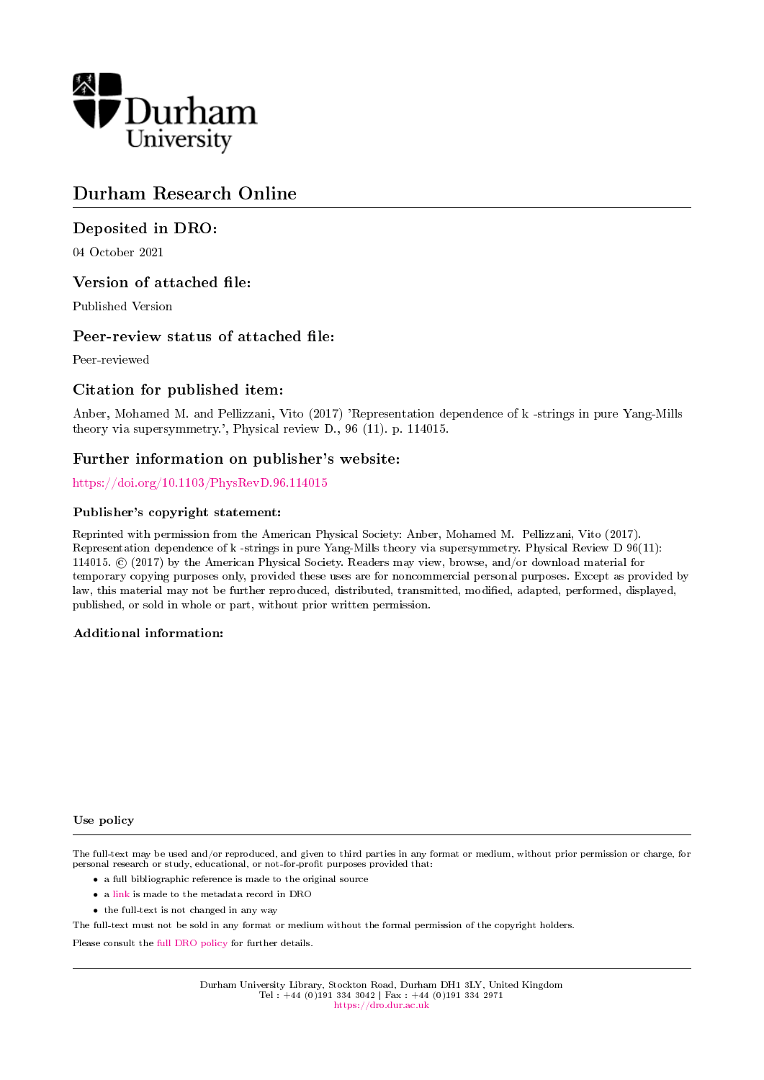

# Durham Research Online

## Deposited in DRO:

04 October 2021

## Version of attached file:

Published Version

## Peer-review status of attached file:

Peer-reviewed

## Citation for published item:

Anber, Mohamed M. and Pellizzani, Vito (2017) 'Representation dependence of k -strings in pure Yang-Mills theory via supersymmetry.', Physical review D., 96 (11). p. 114015.

## Further information on publisher's website:

<https://doi.org/10.1103/PhysRevD.96.114015>

### Publisher's copyright statement:

Reprinted with permission from the American Physical Society: Anber, Mohamed M. Pellizzani, Vito (2017). Representation dependence of k -strings in pure Yang-Mills theory via supersymmetry. Physical Review D 96(11): 114015. © (2017) by the American Physical Society. Readers may view, browse, and/or download material for temporary copying purposes only, provided these uses are for noncommercial personal purposes. Except as provided by law, this material may not be further reproduced, distributed, transmitted, modied, adapted, performed, displayed, published, or sold in whole or part, without prior written permission.

#### Additional information:

#### Use policy

The full-text may be used and/or reproduced, and given to third parties in any format or medium, without prior permission or charge, for personal research or study, educational, or not-for-profit purposes provided that:

- a full bibliographic reference is made to the original source
- a [link](http://dro.dur.ac.uk/34051/) is made to the metadata record in DRO
- the full-text is not changed in any way

The full-text must not be sold in any format or medium without the formal permission of the copyright holders.

Please consult the [full DRO policy](https://dro.dur.ac.uk/policies/usepolicy.pdf) for further details.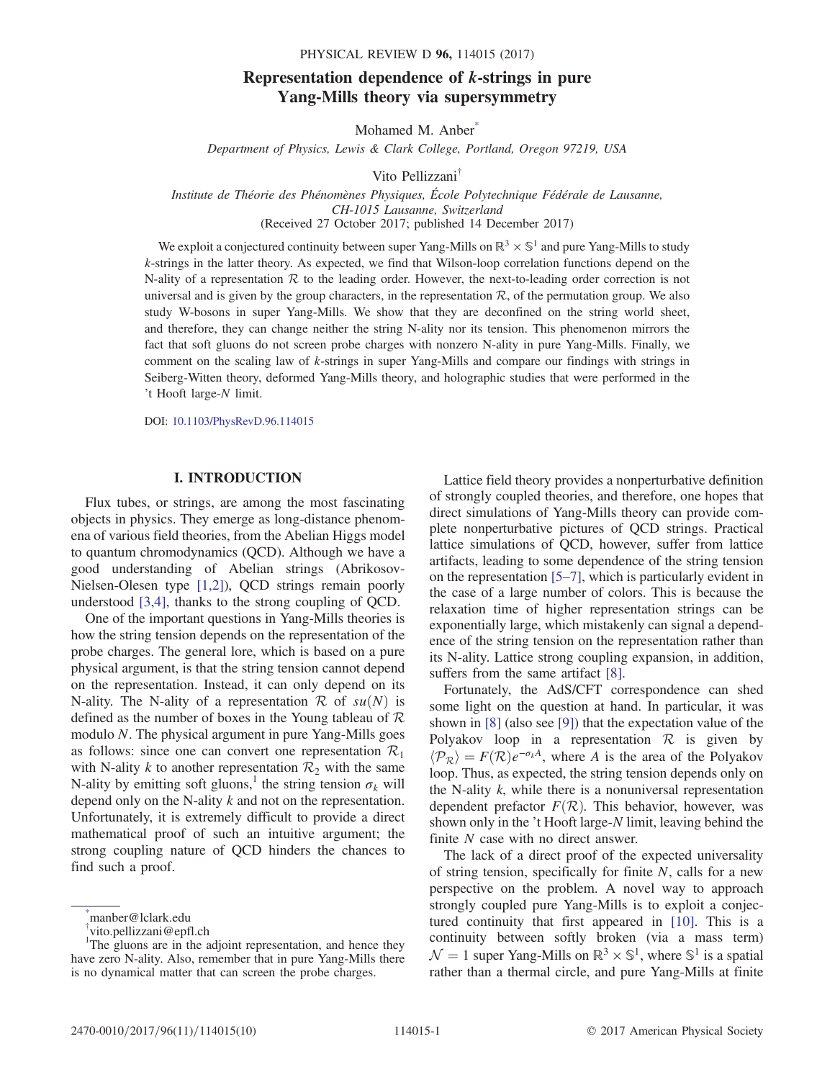## Representation dependence of k-strings in pure Yang-Mills theory via supersymmetry

Mohamed M. Anber<sup>\*</sup>

Department of Physics, Lewis & Clark College, Portland, Oregon 97219, USA

Vito Pellizzani[†](#page-1-1)

<span id="page-1-3"></span><span id="page-1-2"></span>Institute de Théorie des Phénomènes Physiques, École Polytechnique Fédérale de Lausanne, CH-1015 Lausanne, Switzerland (Received 27 October 2017; published 14 December 2017)

We exploit a conjectured continuity between super Yang-Mills on  $\mathbb{R}^3 \times \mathbb{S}^1$  and pure Yang-Mills to study k-strings in the latter theory. As expected, we find that Wilson-loop correlation functions depend on the N-ality of a representation  $R$  to the leading order. However, the next-to-leading order correction is not universal and is given by the group characters, in the representation  $\mathcal{R}$ , of the permutation group. We also study W-bosons in super Yang-Mills. We show that they are deconfined on the string world sheet, and therefore, they can change neither the string N-ality nor its tension. This phenomenon mirrors the fact that soft gluons do not screen probe charges with nonzero N-ality in pure Yang-Mills. Finally, we comment on the scaling law of k-strings in super Yang-Mills and compare our findings with strings in Seiberg-Witten theory, deformed Yang-Mills theory, and holographic studies that were performed in the 't Hooft large-N limit.

DOI: [10.1103/PhysRevD.96.114015](https://doi.org/10.1103/PhysRevD.96.114015)

#### I. INTRODUCTION

Flux tubes, or strings, are among the most fascinating objects in physics. They emerge as long-distance phenomena of various field theories, from the Abelian Higgs model to quantum chromodynamics (QCD). Although we have a good understanding of Abelian strings (Abrikosov-Nielsen-Olesen type [\[1,2\]](#page-9-0)), QCD strings remain poorly understood [\[3,4\],](#page-9-1) thanks to the strong coupling of QCD.

One of the important questions in Yang-Mills theories is how the string tension depends on the representation of the probe charges. The general lore, which is based on a pure physical argument, is that the string tension cannot depend on the representation. Instead, it can only depend on its N-ality. The N-ality of a representation R of  $su(N)$  is defined as the number of boxes in the Young tableau of  $R$ modulo N. The physical argument in pure Yang-Mills goes as follows: since one can convert one representation  $\mathcal{R}_1$ with N-ality k to another representation  $\mathcal{R}_2$  with the same N-ality by emitting soft gluons,<sup>1</sup> the string tension  $\sigma_k$  will depend only on the N-ality k and not on the representation. Unfortunately, it is extremely difficult to provide a direct mathematical proof of such an intuitive argument; the strong coupling nature of QCD hinders the chances to find such a proof.

Lattice field theory provides a nonperturbative definition of strongly coupled theories, and therefore, one hopes that direct simulations of Yang-Mills theory can provide complete nonperturbative pictures of QCD strings. Practical lattice simulations of QCD, however, suffer from lattice artifacts, leading to some dependence of the string tension on the representation [5–[7\],](#page-9-2) which is particularly evident in the case of a large number of colors. This is because the relaxation time of higher representation strings can be exponentially large, which mistakenly can signal a dependence of the string tension on the representation rather than its N-ality. Lattice strong coupling expansion, in addition, suffers from the same artifact [\[8\]](#page-9-3).

Fortunately, the AdS/CFT correspondence can shed some light on the question at hand. In particular, it was shown in [\[8\]](#page-9-3) (also see [\[9\]](#page-9-4)) that the expectation value of the Polyakov loop in a representation  $\mathcal R$  is given by  $\langle \mathcal{P}_R \rangle = F(\mathcal{R})e^{-\sigma_k A}$ , where A is the area of the Polyakov loop. Thus, as expected, the string tension depends only on the N-ality  $k$ , while there is a nonuniversal representation dependent prefactor  $F(\mathcal{R})$ . This behavior, however, was shown only in the 't Hooft large-N limit, leaving behind the finite N case with no direct answer.

The lack of a direct proof of the expected universality of string tension, specifically for finite  $N$ , calls for a new perspective on the problem. A novel way to approach strongly coupled pure Yang-Mills is to exploit a conjectured continuity that first appeared in [\[10\]](#page-9-5). This is a continuity between softly broken (via a mass term)  $\mathcal{N} = 1$  super Yang-Mills on  $\mathbb{R}^3 \times \mathbb{S}^1$ , where  $\mathbb{S}^1$  is a spatial rather than a thermal circle, and pure Yang-Mills at finite

<span id="page-1-0"></span>[<sup>\\*</sup>](#page-1-2) manber@lclark.edu

<span id="page-1-1"></span>[<sup>†</sup>](#page-1-3) vito.pellizzani@epfl.ch

<sup>&</sup>lt;sup>1</sup>The gluons are in the adjoint representation, and hence they have zero N-ality. Also, remember that in pure Yang-Mills there is no dynamical matter that can screen the probe charges.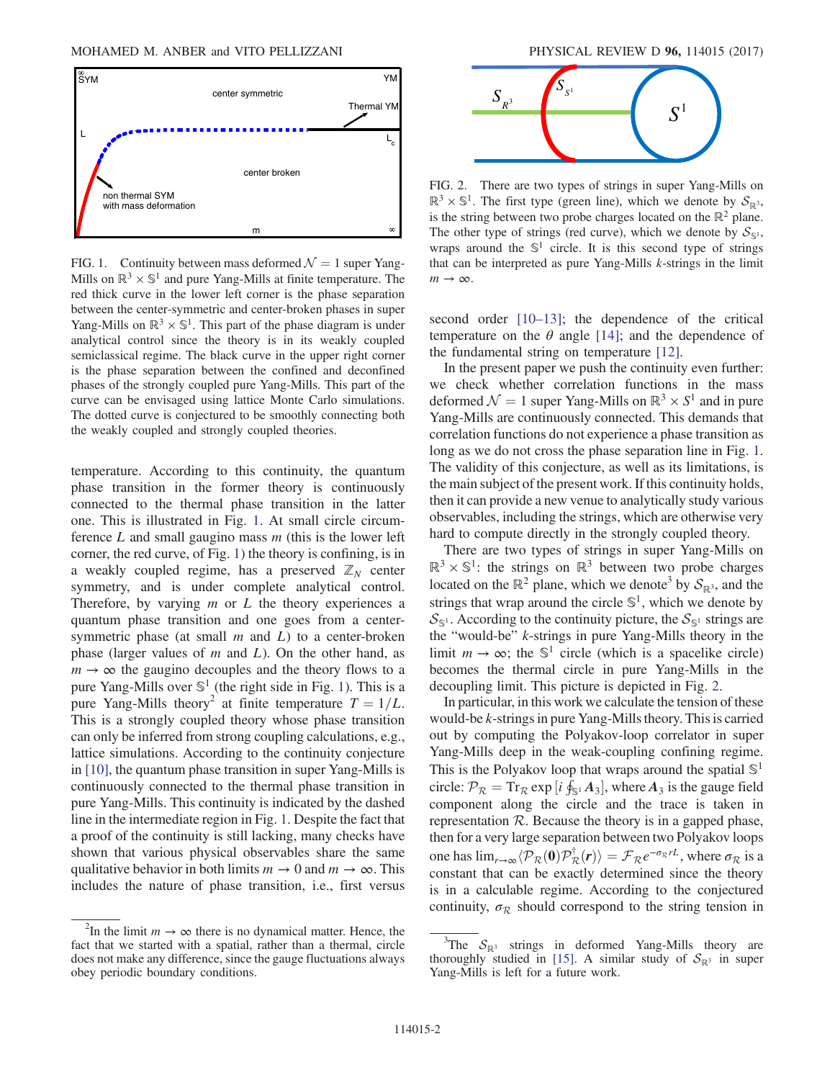<span id="page-2-0"></span>

FIG. 1. Continuity between mass deformed  $\mathcal{N} = 1$  super Yang-Mills on  $\mathbb{R}^3 \times \mathbb{S}^1$  and pure Yang-Mills at finite temperature. The red thick curve in the lower left corner is the phase separation between the center-symmetric and center-broken phases in super Yang-Mills on  $\mathbb{R}^3 \times \mathbb{S}^1$ . This part of the phase diagram is under analytical control since the theory is in its weakly coupled semiclassical regime. The black curve in the upper right corner is the phase separation between the confined and deconfined phases of the strongly coupled pure Yang-Mills. This part of the curve can be envisaged using lattice Monte Carlo simulations. The dotted curve is conjectured to be smoothly connecting both the weakly coupled and strongly coupled theories.

temperature. According to this continuity, the quantum phase transition in the former theory is continuously connected to the thermal phase transition in the latter one. This is illustrated in Fig. [1](#page-2-0). At small circle circumference  $L$  and small gaugino mass  $m$  (this is the lower left corner, the red curve, of Fig. [1](#page-2-0)) the theory is confining, is in a weakly coupled regime, has a preserved  $\mathbb{Z}_N$  center symmetry, and is under complete analytical control. Therefore, by varying  $m$  or  $L$  the theory experiences a quantum phase transition and one goes from a centersymmetric phase (at small  $m$  and  $L$ ) to a center-broken phase (larger values of  $m$  and  $L$ ). On the other hand, as  $m \to \infty$  the gaugino decouples and the theory flows to a pure Yang-Mills over  $\mathbb{S}^1$  (the right side in Fig. [1\)](#page-2-0). This is a pure Yang-Mills theory<sup>2</sup> at finite temperature  $T = 1/L$ . This is a strongly coupled theory whose phase transition can only be inferred from strong coupling calculations, e.g., lattice simulations. According to the continuity conjecture in [\[10\],](#page-9-5) the quantum phase transition in super Yang-Mills is continuously connected to the thermal phase transition in pure Yang-Mills. This continuity is indicated by the dashed line in the intermediate region in Fig. [1.](#page-2-0) Despite the fact that a proof of the continuity is still lacking, many checks have shown that various physical observables share the same qualitative behavior in both limits  $m \to 0$  and  $m \to \infty$ . This includes the nature of phase transition, i.e., first versus

<span id="page-2-1"></span>

FIG. 2. There are two types of strings in super Yang-Mills on  $\mathbb{R}^3 \times \mathbb{S}^1$ . The first type (green line), which we denote by  $\mathcal{S}_{\mathbb{R}^3}$ , is the string between two probe charges located on the  $\mathbb{R}^2$  plane. The other type of strings (red curve), which we denote by  $S_{\mathbb{S}^1}$ , wraps around the  $\mathbb{S}^1$  circle. It is this second type of strings that can be interpreted as pure Yang-Mills k-strings in the limit  $m \rightarrow \infty$ .

second order [\[10](#page-9-5)–13]; the dependence of the critical temperature on the  $\theta$  angle [\[14\]](#page-9-6); and the dependence of the fundamental string on temperature [\[12\].](#page-9-7)

In the present paper we push the continuity even further: we check whether correlation functions in the mass deformed  $\mathcal{N} = 1$  super Yang-Mills on  $\mathbb{R}^3 \times S^1$  and in pure Yang-Mills are continuously connected. This demands that correlation functions do not experience a phase transition as long as we do not cross the phase separation line in Fig. [1](#page-2-0). The validity of this conjecture, as well as its limitations, is the main subject of the present work. If this continuity holds, then it can provide a new venue to analytically study various observables, including the strings, which are otherwise very hard to compute directly in the strongly coupled theory.

There are two types of strings in super Yang-Mills on  $\mathbb{R}^3 \times \mathbb{S}^1$ : the strings on  $\mathbb{R}^3$  between two probe charges located on the  $\mathbb{R}^2$  plane, which we denote<sup>3</sup> by  $\mathcal{S}_{\mathbb{R}^3}$ , and the strings that wrap around the circle  $\mathbb{S}^1$ , which we denote by  $S_{\mathbb{S}^1}$ . According to the continuity picture, the  $S_{\mathbb{S}^1}$  strings are the "would-be" k-strings in pure Yang-Mills theory in the limit  $m \to \infty$ ; the  $\mathbb{S}^1$  circle (which is a spacelike circle) becomes the thermal circle in pure Yang-Mills in the decoupling limit. This picture is depicted in Fig. [2.](#page-2-1)

In particular, in this work we calculate the tension of these would-be k-strings in pure Yang-Mills theory. This is carried out by computing the Polyakov-loop correlator in super Yang-Mills deep in the weak-coupling confining regime. This is the Polyakov loop that wraps around the spatial  $\mathbb{S}^1$ circle:  $\mathcal{P}_R = \text{Tr}_R \exp[i \oint_{\mathbb{S}^1} A_3]$ , where  $A_3$  is the gauge field<br>component along the circle and the trace is taken in component along the circle and the trace is taken in representation  $R$ . Because the theory is in a gapped phase, then for a very large separation between two Polyakov loops one has  $\lim_{r\to\infty} \langle \mathcal{P}_R(\mathbf{0}) \mathcal{P}_R^{\dagger}(r) \rangle = \mathcal{F}_R e^{-\sigma_R rL}$ , where  $\sigma_R$  is a constant that can be exactly determined since the theory constant that can be exactly determined since the theory is in a calculable regime. According to the conjectured continuity,  $\sigma_R$  should correspond to the string tension in

<sup>&</sup>lt;sup>2</sup>In the limit  $m \to \infty$  there is no dynamical matter. Hence, the fact that we started with a spatial, rather than a thermal, circle does not make any difference, since the gauge fluctuations always obey periodic boundary conditions.

<sup>&</sup>lt;sup>3</sup>The  $S_{\mathbb{R}^3}$  strings in deformed Yang-Mills theory are thoroughly studied in [\[15\]](#page-9-8). A similar study of  $S_{\mathbb{R}^3}$  in super Yang-Mills is left for a future work.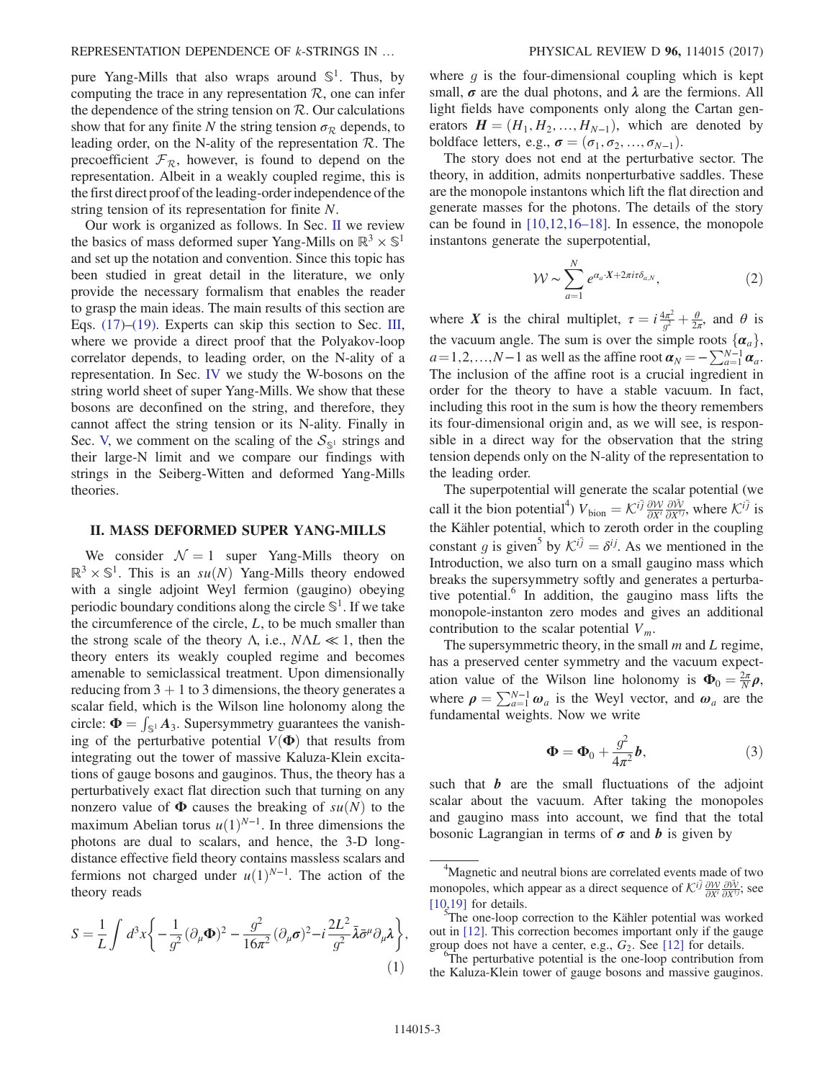pure Yang-Mills that also wraps around  $\mathbb{S}^1$ . Thus, by computing the trace in any representation  $R$ , one can infer the dependence of the string tension on  $R$ . Our calculations show that for any finite N the string tension  $\sigma_R$  depends, to leading order, on the N-ality of the representation  $\mathcal{R}$ . The precoefficient  $\mathcal{F}_R$ , however, is found to depend on the representation. Albeit in a weakly coupled regime, this is the first direct proof of the leading-order independence of the string tension of its representation for finite N.

Our work is organized as follows. In Sec. [II](#page-3-0) we review the basics of mass deformed super Yang-Mills on  $\mathbb{R}^3 \times \mathbb{S}^1$ and set up the notation and convention. Since this topic has been studied in great detail in the literature, we only provide the necessary formalism that enables the reader to grasp the main ideas. The main results of this section are Eqs. [\(17\)](#page-5-0)–[\(19\)](#page-5-1). Experts can skip this section to Sec. [III](#page-5-2), where we provide a direct proof that the Polyakov-loop correlator depends, to leading order, on the N-ality of a representation. In Sec. [IV](#page-7-0) we study the W-bosons on the string world sheet of super Yang-Mills. We show that these bosons are deconfined on the string, and therefore, they cannot affect the string tension or its N-ality. Finally in Sec. [V,](#page-8-0) we comment on the scaling of the  $S_{\mathbb{S}^1}$  strings and their large-N limit and we compare our findings with strings in the Seiberg-Witten and deformed Yang-Mills theories.

#### <span id="page-3-0"></span>II. MASS DEFORMED SUPER YANG-MILLS

We consider  $\mathcal{N} = 1$  super Yang-Mills theory on  $\mathbb{R}^3 \times \mathbb{S}^1$ . This is an su(N) Yang-Mills theory endowed with a single adjoint Weyl fermion (gaugino) obeying periodic boundary conditions along the circle  $\mathbb{S}^1$ . If we take the circumference of the circle,  $L$ , to be much smaller than the strong scale of the theory  $\Lambda$ , i.e.,  $N\Lambda L \ll 1$ , then the theory enters its weakly coupled regime and becomes amenable to semiclassical treatment. Upon dimensionally reducing from  $3 + 1$  to 3 dimensions, the theory generates a scalar field, which is the Wilson line holonomy along the circle:  $\mathbf{\Phi} = \int_{\mathbb{S}^1} A_3$ . Supersymmetry guarantees the vanish-<br>ing of the perturbative potential  $V(\mathbf{\Phi})$  that results from ing of the perturbative potential  $V(\Phi)$  that results from integrating out the tower of massive Kaluza-Klein excitations of gauge bosons and gauginos. Thus, the theory has a perturbatively exact flat direction such that turning on any nonzero value of  $\Phi$  causes the breaking of  $su(N)$  to the maximum Abelian torus  $u(1)^{N-1}$ . In three dimensions the photons are dual to scalars, and hence, the 3-D longdistance effective field theory contains massless scalars and fermions not charged under  $u(1)^{N-1}$ . The action of the theory reads theory reads

$$
S = \frac{1}{L} \int d^3x \left\{ -\frac{1}{g^2} (\partial_\mu \Phi)^2 - \frac{g^2}{16\pi^2} (\partial_\mu \sigma)^2 - i \frac{2L^2}{g^2} \bar{\lambda} \bar{\sigma}^\mu \partial_\mu \lambda \right\},\tag{1}
$$

where  $g$  is the four-dimensional coupling which is kept small,  $\sigma$  are the dual photons, and  $\lambda$  are the fermions. All light fields have components only along the Cartan generators  $\mathbf{H} = (H_1, H_2, \dots, H_{N-1})$ , which are denoted by boldface letters, e.g.,  $\sigma = (\sigma_1, \sigma_2, ..., \sigma_{N-1}).$ 

The story does not end at the perturbative sector. The theory, in addition, admits nonperturbative saddles. These are the monopole instantons which lift the flat direction and generate masses for the photons. The details of the story can be found in [\[10,12,16](#page-9-5)–18]. In essence, the monopole instantons generate the superpotential,

$$
\mathcal{W} \sim \sum_{a=1}^{N} e^{\alpha_a \cdot X + 2\pi i \tau \delta_{a,N}}, \tag{2}
$$

where X is the chiral multiplet,  $\tau = i \frac{4\pi^2}{g^2} + \frac{\theta}{2\pi}$ , and  $\theta$  is the summarized The number of  $\theta$  is the vacuum angle. The sum is over the simple roots  $\{\boldsymbol{\alpha}_a\},\$  $a=1,2,...,N-1$  as well as the affine root  $\boldsymbol{\alpha}_N = -\sum_{a=1}^{N-1} \boldsymbol{\alpha}_a$ . The inclusion of the affine root is a crucial ingredient in order for the theory to have a stable vacuum. In fact, including this root in the sum is how the theory remembers its four-dimensional origin and, as we will see, is responsible in a direct way for the observation that the string tension depends only on the N-ality of the representation to the leading order.

The superpotential will generate the scalar potential (we call it the bion potential<sup>4</sup>)  $V_{\text{bion}} = \mathcal{K}^{i\bar{j}} \frac{\partial W}{\partial x^{i}} \frac{\partial \bar{W}}{\partial x^{j\bar{j}}}$ , where  $\mathcal{K}^{i\bar{j}}$  is the Kähler potential, which to geneth erdor in the coupling the Kähler potential, which to zeroth order in the coupling constant g is given<sup>5</sup> by  $K^{i\bar{j}} = \delta^{i\bar{j}}$ . As we mentioned in the Introduction we also turn on a small gaugino mass which Introduction, we also turn on a small gaugino mass which breaks the supersymmetry softly and generates a perturbative potential. $6$  In addition, the gaugino mass lifts the monopole-instanton zero modes and gives an additional contribution to the scalar potential  $V_m$ .

The supersymmetric theory, in the small  $m$  and  $L$  regime, has a preserved center symmetry and the vacuum expectation value of the Wilson line holonomy is  $\Phi_0 = \frac{2\pi}{N} \rho$ , where  $\rho = \sum_{a=1}^{N-1} \omega_a$  is the Weyl vector, and  $\omega_a$  are the fundamental weights. Now we write

$$
\Phi = \Phi_0 + \frac{g^2}{4\pi^2}b,\tag{3}
$$

such that  $\boldsymbol{b}$  are the small fluctuations of the adjoint scalar about the vacuum. After taking the monopoles and gaugino mass into account, we find that the total bosonic Lagrangian in terms of  $\sigma$  and  $\dot{b}$  is given by

<sup>&</sup>lt;sup>4</sup>Magnetic and neutral bions are correlated events made of two monopoles, which appear as a direct sequence of  $\mathcal{K}^{i\bar{j}} \frac{\partial \mathcal{W}}{\partial X^{i}} \frac{\partial \bar{\mathcal{W}}}{\partial X^{j\bar{j}}}$ ; see  $[10,19]$  for details.

<sup>&</sup>lt;sup>5</sup>The one-loop correction to the Kähler potential was worked out in [\[12\]](#page-9-7). This correction becomes important only if the gauge group does not have a center, e.g.,  $G_2$ . See [\[12\]](#page-9-7) for details.

 ${}^{\circ}$ The perturbative potential is the one-loop contribution from the Kaluza-Klein tower of gauge bosons and massive gauginos.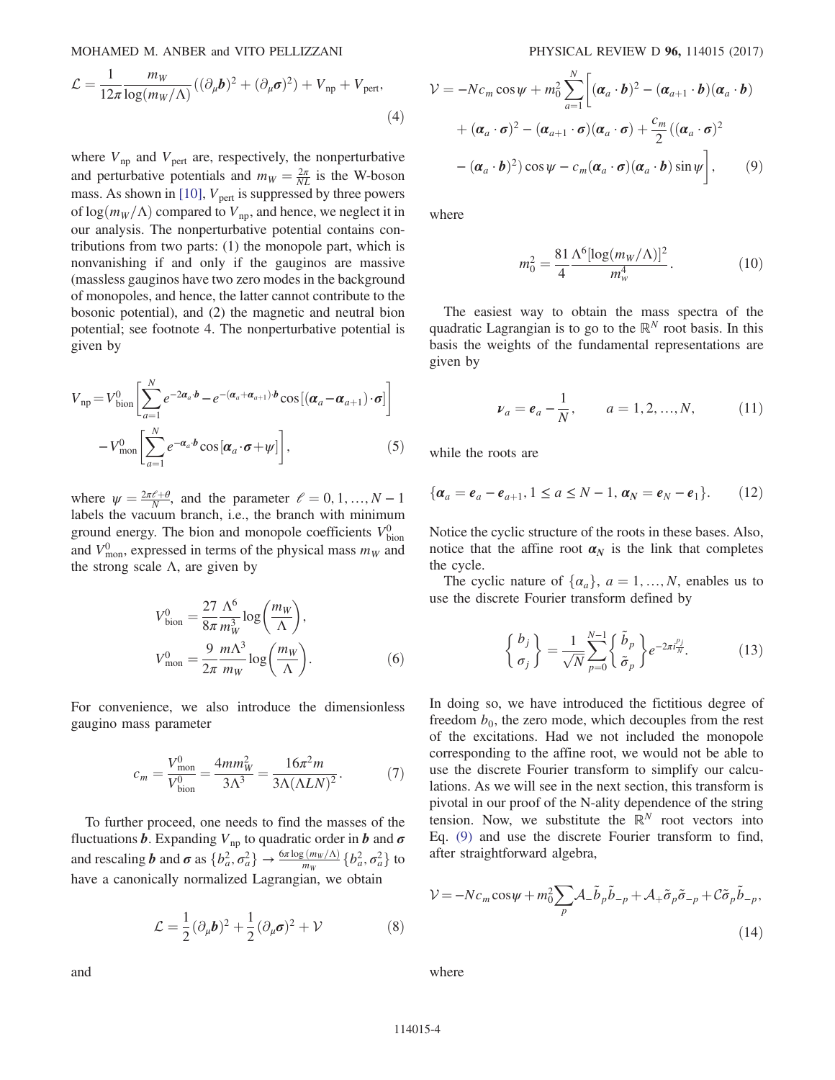$$
\mathcal{L} = \frac{1}{12\pi} \frac{m_W}{\log(m_W/\Lambda)} \left( (\partial_\mu \boldsymbol{b})^2 + (\partial_\mu \boldsymbol{\sigma})^2 \right) + V_{\rm np} + V_{\rm pert},\tag{4}
$$

where  $V_{\text{np}}$  and  $V_{\text{pert}}$  are, respectively, the nonperturbative and perturbative potentials and  $m_W = \frac{2\pi}{NL}$  is the W-boson<br>mass. As shown in [10] V is suppressed by three powers mass. As shown in [\[10\]](#page-9-5),  $V_{\text{pert}}$  is suppressed by three powers of  $log(m_W/\Lambda)$  compared to  $V_{\text{np}}$ , and hence, we neglect it in our analysis. The nonperturbative potential contains contributions from two parts: (1) the monopole part, which is nonvanishing if and only if the gauginos are massive (massless gauginos have two zero modes in the background of monopoles, and hence, the latter cannot contribute to the bosonic potential), and (2) the magnetic and neutral bion potential; see footnote 4. The nonperturbative potential is given by

$$
V_{\rm np} = V_{\rm bion}^{0} \left[ \sum_{a=1}^{N} e^{-2\alpha_a \cdot \boldsymbol{b}} - e^{-(\alpha_a + \alpha_{a+1}) \cdot \boldsymbol{b}} \cos\left[ (\alpha_a - \alpha_{a+1}) \cdot \boldsymbol{\sigma} \right] \right]
$$

$$
- V_{\rm mon}^{0} \left[ \sum_{a=1}^{N} e^{-\alpha_a \cdot \boldsymbol{b}} \cos\left[ \alpha_a \cdot \boldsymbol{\sigma} + \boldsymbol{\psi} \right] \right], \tag{5}
$$

where  $\psi = \frac{2\pi \ell + \theta}{N}$ , and the parameter  $\ell = 0, 1, ..., N - 1$ <br>labels the vacuum branch i.e. the branch with minimum labels the vacuum branch, i.e., the branch with minimum ground energy. The bion and monopole coefficients  $V_{\text{bin}}^0$ and  $V_{\text{mon}}^0$ , expressed in terms of the physical mass  $m_W$  and the strong scale  $\Lambda$ , are given by

$$
V_{\text{bion}}^0 = \frac{27}{8\pi} \frac{\Lambda^6}{m_W^3} \log\left(\frac{m_W}{\Lambda}\right),
$$
  

$$
V_{\text{mon}}^0 = \frac{9}{2\pi} \frac{m\Lambda^3}{m_W} \log\left(\frac{m_W}{\Lambda}\right).
$$
 (6)

For convenience, we also introduce the dimensionless gaugino mass parameter

$$
c_m = \frac{V_{\text{mon}}^0}{V_{\text{bion}}^0} = \frac{4mm_W^2}{3\Lambda^3} = \frac{16\pi^2 m}{3\Lambda(\Lambda L N)^2}.
$$
 (7)

<span id="page-4-0"></span>To further proceed, one needs to find the masses of the fluctuations **b**. Expanding  $V_{\text{np}}$  to quadratic order in **b** and  $\sigma$ and rescaling **b** and  $\sigma$  as  $\{b_a^2, \sigma_a^2\} \rightarrow \frac{6\pi \log{(m_W/\Lambda)}}{m_W} \{b_a^2, \sigma_a^2\}$  to have a canonically normalized Lagrangian, we obtain

$$
\mathcal{L} = \frac{1}{2} (\partial_{\mu} \boldsymbol{b})^2 + \frac{1}{2} (\partial_{\mu} \boldsymbol{\sigma})^2 + \mathcal{V}
$$
 (8)

$$
\mathcal{V} = -Nc_m \cos \psi + m_0^2 \sum_{a=1}^N \left[ (\boldsymbol{\alpha}_a \cdot \boldsymbol{b})^2 - (\boldsymbol{\alpha}_{a+1} \cdot \boldsymbol{b}) (\boldsymbol{\alpha}_a \cdot \boldsymbol{b}) + (\boldsymbol{\alpha}_a \cdot \boldsymbol{\sigma})^2 - (\boldsymbol{\alpha}_{a+1} \cdot \boldsymbol{\sigma}) (\boldsymbol{\alpha}_a \cdot \boldsymbol{\sigma}) + \frac{c_m}{2} ((\boldsymbol{\alpha}_a \cdot \boldsymbol{\sigma})^2 - (\boldsymbol{\alpha}_a \cdot \boldsymbol{b})^2) \cos \psi - c_m (\boldsymbol{\alpha}_a \cdot \boldsymbol{\sigma}) (\boldsymbol{\alpha}_a \cdot \boldsymbol{b}) \sin \psi \right], \qquad (9)
$$

<span id="page-4-1"></span>where

$$
m_0^2 = \frac{81}{4} \frac{\Lambda^6 [\log(m_W/\Lambda)]^2}{m_w^4}.
$$
 (10)

The easiest way to obtain the mass spectra of the quadratic Lagrangian is to go to the  $\mathbb{R}^N$  root basis. In this basis the weights of the fundamental representations are given by

$$
\nu_a = e_a - \frac{1}{N}, \qquad a = 1, 2, ..., N,
$$
 (11)

while the roots are

$$
\{\boldsymbol{\alpha}_a = \boldsymbol{e}_a - \boldsymbol{e}_{a+1}, 1 \le a \le N - 1, \, \boldsymbol{\alpha}_N = \boldsymbol{e}_N - \boldsymbol{e}_1\}.
$$
 (12)

Notice the cyclic structure of the roots in these bases. Also, notice that the affine root  $\alpha_N$  is the link that completes the cycle.

The cyclic nature of  $\{\alpha_a\}$ ,  $a = 1, ..., N$ , enables us to use the discrete Fourier transform defined by

$$
\begin{Bmatrix} b_j \\ \sigma_j \end{Bmatrix} = \frac{1}{\sqrt{N}} \sum_{p=0}^{N-1} \begin{Bmatrix} \tilde{b}_p \\ \tilde{\sigma}_p \end{Bmatrix} e^{-2\pi i \frac{p_j}{N}}.
$$
 (13)

In doing so, we have introduced the fictitious degree of freedom  $b_0$ , the zero mode, which decouples from the rest of the excitations. Had we not included the monopole corresponding to the affine root, we would not be able to use the discrete Fourier transform to simplify our calculations. As we will see in the next section, this transform is pivotal in our proof of the N-ality dependence of the string tension. Now, we substitute the  $\mathbb{R}^N$  root vectors into Eq. [\(9\)](#page-4-0) and use the discrete Fourier transform to find, after straightforward algebra,

$$
\mathcal{V} = -Nc_m \cos \psi + m_0^2 \sum_p \mathcal{A}_- \tilde{b}_p \tilde{b}_{-p} + \mathcal{A}_+ \tilde{\sigma}_p \tilde{\sigma}_{-p} + C \tilde{\sigma}_p \tilde{b}_{-p},
$$
\n(14)

where

114015-4

and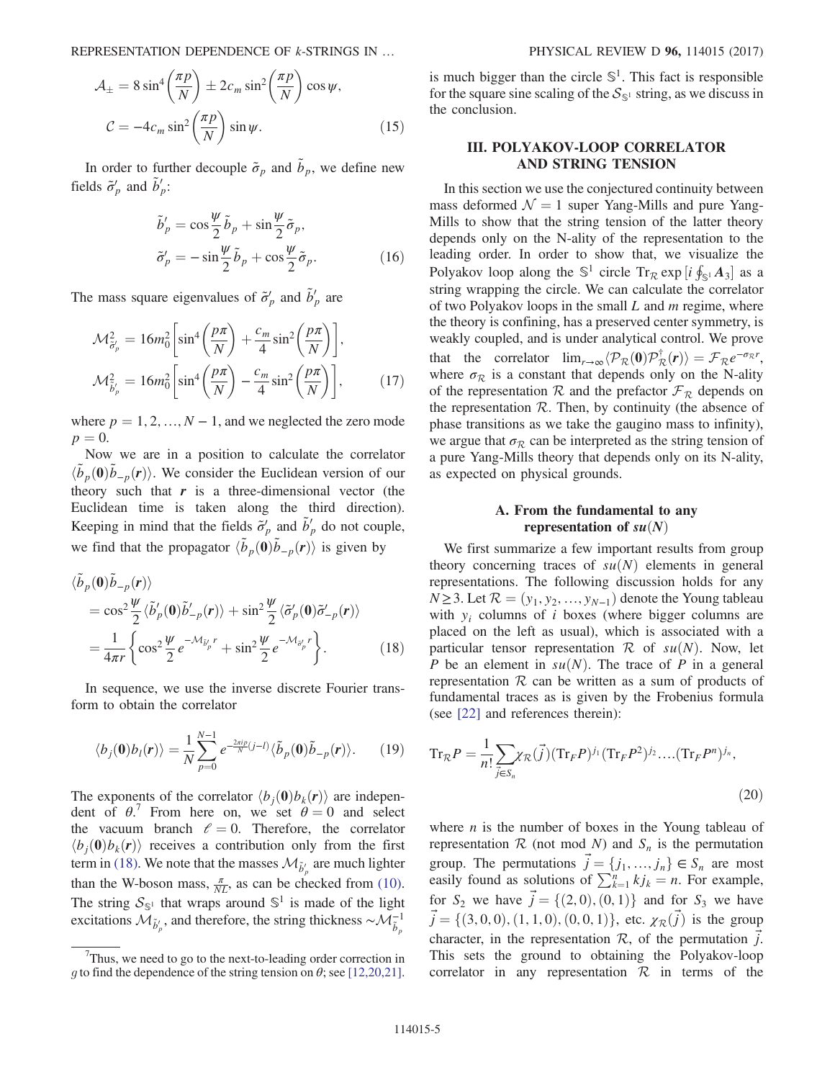REPRESENTATION DEPENDENCE OF *k*-STRINGS IN ... PHYSICAL REVIEW D **96**, 114015 (2017)

$$
\mathcal{A}_{\pm} = 8 \sin^4 \left( \frac{\pi p}{N} \right) \pm 2c_m \sin^2 \left( \frac{\pi p}{N} \right) \cos \psi,
$$
  

$$
\mathcal{C} = -4c_m \sin^2 \left( \frac{\pi p}{N} \right) \sin \psi.
$$
 (15)

In order to further decouple  $\tilde{\sigma}_p$  and  $\tilde{b}_p$ , we define new fields  $\tilde{\sigma}'_p$  and  $\tilde{b}'_p$ :

$$
\tilde{b}'_p = \cos\frac{\psi}{2}\tilde{b}_p + \sin\frac{\psi}{2}\tilde{\sigma}_p, \n\tilde{\sigma}'_p = -\sin\frac{\psi}{2}\tilde{b}_p + \cos\frac{\psi}{2}\tilde{\sigma}_p.
$$
\n(16)

<span id="page-5-0"></span>The mass square eigenvalues of  $\tilde{\sigma}'_p$  and  $\tilde{b}'_p$  are

$$
\mathcal{M}_{\tilde{\sigma}'_{p}}^{2} = 16m_{0}^{2} \left[ \sin^{4} \left( \frac{p\pi}{N} \right) + \frac{c_{m}}{4} \sin^{2} \left( \frac{p\pi}{N} \right) \right],
$$
  

$$
\mathcal{M}_{\tilde{b}'_{p}}^{2} = 16m_{0}^{2} \left[ \sin^{4} \left( \frac{p\pi}{N} \right) - \frac{c_{m}}{4} \sin^{2} \left( \frac{p\pi}{N} \right) \right],
$$
 (17)

where  $p = 1, 2, ..., N - 1$ , and we neglected the zero mode  $p = 0.$ 

Now we are in a position to calculate the correlator  $\langle \tilde{b}_p(\mathbf{0})\tilde{b}_{-p}(\mathbf{r})\rangle$ . We consider the Euclidean version of our theory such that r is a three-dimensional vector (the theory such that  $r$  is a three-dimensional vector (the Euclidean time is taken along the third direction). Keeping in mind that the fields  $\tilde{\sigma}'_p$  and  $\tilde{b}'_p$  do not couple, we find that the propagator  $\langle \tilde{b}_p(\mathbf{0})\tilde{b}_{-p}(\mathbf{r})\rangle$  is given by

<span id="page-5-3"></span>
$$
\langle \tilde{b}_p(\mathbf{0}) \tilde{b}_{-p}(\mathbf{r}) \rangle \n= \cos^2 \frac{\psi}{2} \langle \tilde{b}'_p(\mathbf{0}) \tilde{b}'_{-p}(\mathbf{r}) \rangle + \sin^2 \frac{\psi}{2} \langle \tilde{\sigma}'_p(\mathbf{0}) \tilde{\sigma}'_{-p}(\mathbf{r}) \rangle \n= \frac{1}{4\pi r} \left\{ \cos^2 \frac{\psi}{2} e^{-\mathcal{M}_{\tilde{b}'_p} r} + \sin^2 \frac{\psi}{2} e^{-\mathcal{M}_{\tilde{\sigma}'_p} r} \right\}.
$$
\n(18)

<span id="page-5-1"></span>In sequence, we use the inverse discrete Fourier transform to obtain the correlator

$$
\langle b_j(\mathbf{0})b_l(\mathbf{r})\rangle = \frac{1}{N}\sum_{p=0}^{N-1} e^{-\frac{2\pi i p}{N}(j-l)} \langle \tilde{b}_p(\mathbf{0})\tilde{b}_{-p}(\mathbf{r})\rangle. \qquad (19)
$$

The exponents of the correlator  $\langle b_i(\mathbf{0})b_k(\mathbf{r})\rangle$  are independent of  $\theta$ . From here on, we set  $\theta = 0$  and select<br>the vacuum branch  $\theta = 0$ . Therefore, the correlator the vacuum branch  $\ell = 0$ . Therefore, the correlator  $\langle b_i(\mathbf{0})b_k(\mathbf{r})\rangle$  receives a contribution only from the first term in [\(18\).](#page-5-3) We note that the masses  $\mathcal{M}_{\tilde{b}'_p}$  are much lighter than the W-boson mass,  $\frac{\pi}{NL}$ , as can be checked from [\(10\)](#page-4-1). The string  $S_{\mathbb{S}^1}$  that wraps around  $\mathbb{S}^1$  is made of the light excitations  $\mathcal{M}_{\tilde{b}'_p}$ , and therefore, the string thickness  $\sim \mathcal{M}_{\tilde{b}_p}^{-1}$ 

is much bigger than the circle  $\mathbb{S}^1$ . This fact is responsible for the square sine scaling of the  $S_{\mathbb{S}^1}$  string, as we discuss in the conclusion.

#### <span id="page-5-2"></span>III. POLYAKOV-LOOP CORRELATOR AND STRING TENSION

In this section we use the conjectured continuity between mass deformed  $\mathcal{N} = 1$  super Yang-Mills and pure Yang-Mills to show that the string tension of the latter theory depends only on the N-ality of the representation to the leading order. In order to show that, we visualize the Polyakov loop along the  $\mathbb{S}^1$  circle  $\text{Tr}_{\mathcal{R}} \exp\left[i \oint_{\mathbb{S}^1} A_3\right]$  as a setting wrapping the circle We can calculate the correlator string wrapping the circle. We can calculate the correlator of two Polyakov loops in the small  $L$  and  $m$  regime, where the theory is confining, has a preserved center symmetry, is weakly coupled, and is under analytical control. We prove that the correlator  $\lim_{r\to\infty} \langle \mathcal{P}_R(\mathbf{0}) \mathcal{P}_R^{\dagger}(r) \rangle = \mathcal{F}_R e^{-\sigma_R r}$ , where  $\sigma_R$  is a constant that depends only on the N-ality of the representation R and the prefactor  $\mathcal{F}_R$  depends on the representation  $R$ . Then, by continuity (the absence of phase transitions as we take the gaugino mass to infinity), we argue that  $\sigma_R$  can be interpreted as the string tension of a pure Yang-Mills theory that depends only on its N-ality, as expected on physical grounds.

#### A. From the fundamental to any representation of  $su(N)$

We first summarize a few important results from group theory concerning traces of  $su(N)$  elements in general representations. The following discussion holds for any  $N \geq 3$ . Let  $\mathcal{R} = (y_1, y_2, \dots, y_{N-1})$  denote the Young tableau with  $y_i$  columns of i boxes (where bigger columns are placed on the left as usual), which is associated with a particular tensor representation  $R$  of  $su(N)$ . Now, let P be an element in  $su(N)$ . The trace of P in a general representation  $R$  can be written as a sum of products of fundamental traces as is given by the Frobenius formula (see [\[22\]](#page-9-9) and references therein):

<span id="page-5-4"></span>
$$
\mathrm{Tr}_{\mathcal{R}}P = \frac{1}{n!} \sum_{\vec{j} \in S_n} \chi_{\mathcal{R}}(\vec{j}) (\mathrm{Tr}_F P)^{j_1} (\mathrm{Tr}_F P^2)^{j_2} \dots (\mathrm{Tr}_F P^n)^{j_n},\tag{20}
$$

where  $n$  is the number of boxes in the Young tableau of representation  $R$  (not mod N) and  $S_n$  is the permutation group. The permutations  $\vec{j} = \{j_1, ..., j_n\} \in S_n$  are most easily found as solutions of  $\sum_{i=1}^{n} k_i = n$ . For example easily found as solutions of  $\sum_{k=1}^{n} k j_k = n$ . For example, for  $S_2$  we have  $\vec{j} = \{(2,0), (0,1)\}$  and for  $S_3$  we have  $\vec{j} = \{(3, 0, 0), (1, 1, 0), (0, 0, 1)\}$ , etc.  $\chi_{\mathcal{R}}(\vec{j})$  is the group character, in the representation  $\mathcal{R}$ , of the permutation  $\vec{j}$ . This sets the ground to obtaining the Polyakov-loop correlator in any representation  $R$  in terms of the

 $7$ Thus, we need to go to the next-to-leading order correction in g to find the dependence of the string tension on  $\theta$ ; see [\[12,20,21\].](#page-9-7)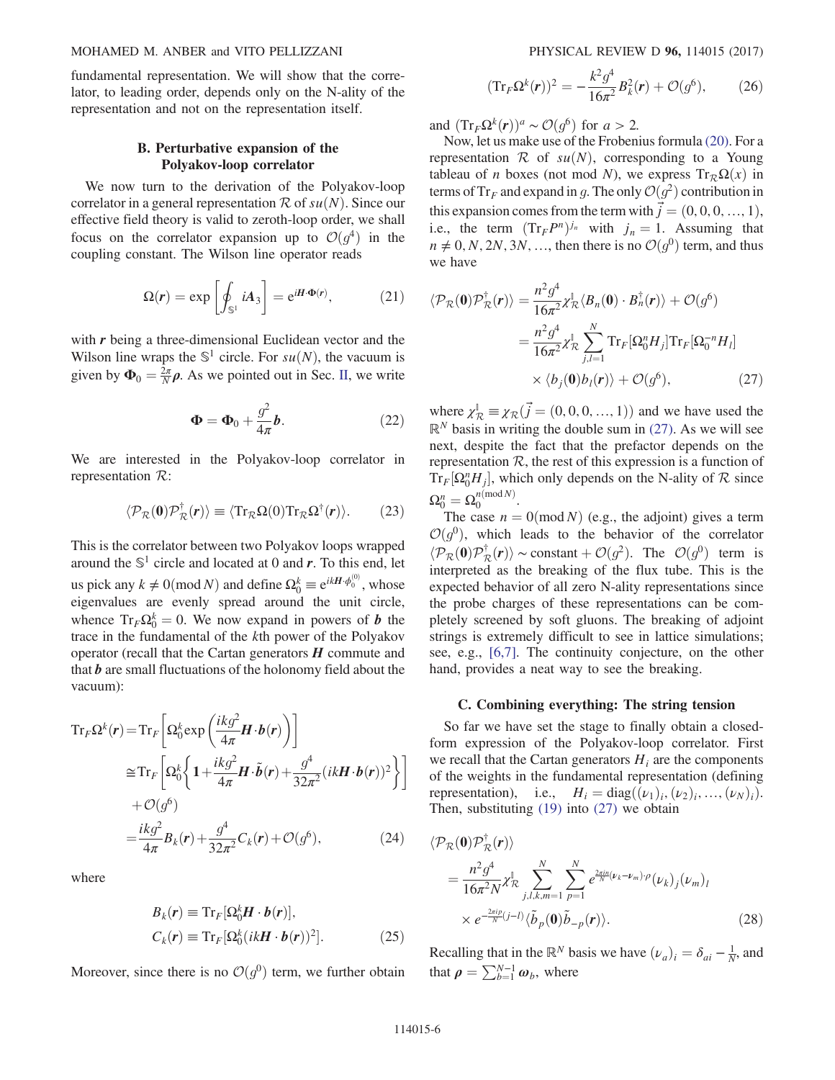#### MOHAMED M. ANBER and VITO PELLIZZANI PHYSICAL REVIEW D 96, 114015 (2017)

fundamental representation. We will show that the correlator, to leading order, depends only on the N-ality of the representation and not on the representation itself.

#### B. Perturbative expansion of the Polyakov-loop correlator

We now turn to the derivation of the Polyakov-loop correlator in a general representation  $R$  of  $su(N)$ . Since our effective field theory is valid to zeroth-loop order, we shall focus on the correlator expansion up to  $\mathcal{O}(g^4)$  in the coupling constant. The Wilson line operator reads

$$
\Omega(r) = \exp\left[\oint_{\mathbb{S}^1} iA_3\right] = e^{iH\cdot\Phi(r)},\tag{21}
$$

with  $r$  being a three-dimensional Euclidean vector and the Wilson line wraps the  $\mathbb{S}^1$  circle. For  $su(N)$ , the vacuum is given by  $\Phi_0 = \frac{2\pi}{N} \rho$ . As we pointed out in Sec. [II,](#page-3-0) we write

$$
\Phi = \Phi_0 + \frac{g^2}{4\pi}b. \tag{22}
$$

We are interested in the Polyakov-loop correlator in representation R:

$$
\langle \mathcal{P}_{\mathcal{R}}(\mathbf{0}) \mathcal{P}_{\mathcal{R}}^{\dagger}(\mathbf{r}) \rangle \equiv \langle \text{Tr}_{\mathcal{R}} \Omega(0) \text{Tr}_{\mathcal{R}} \Omega^{\dagger}(\mathbf{r}) \rangle. \tag{23}
$$

This is the correlator between two Polyakov loops wrapped around the  $\mathbb{S}^1$  circle and located at 0 and r. To this end, let us pick any  $k \neq 0 \pmod{N}$  and define  $\Omega_0^k \equiv e^{ikH \cdot \phi_0^{(0)}}$ , whose eigenvalues are evenly spread around the unit circle, whence  $Tr_F \Omega_0^k = 0$ . We now expand in powers of **b** the trace in the fundamental of the kth power of the Polyakov trace in the fundamental of the kth power of the Polyakov operator (recall that the Cartan generators  $H$  commute and that  $\boldsymbol{b}$  are small fluctuations of the holonomy field about the vacuum):

$$
\mathrm{Tr}_{F}\Omega^{k}(r) = \mathrm{Tr}_{F}\left[\Omega_{0}^{k}\exp\left(\frac{ikg^{2}}{4\pi}\mathbf{H}\cdot\mathbf{b}(r)\right)\right]
$$
\n
$$
\cong \mathrm{Tr}_{F}\left[\Omega_{0}^{k}\left\{1+\frac{ikg^{2}}{4\pi}\mathbf{H}\cdot\tilde{\mathbf{b}}(r)+\frac{g^{4}}{32\pi^{2}}(ik\mathbf{H}\cdot\mathbf{b}(r))^{2}\right\}\right]
$$
\n
$$
+\mathcal{O}(g^{6})
$$
\n
$$
=\frac{ikg^{2}}{4\pi}B_{k}(r)+\frac{g^{4}}{32\pi^{2}}C_{k}(r)+\mathcal{O}(g^{6}),\qquad(24)
$$

where

$$
B_k(r) \equiv \mathrm{Tr}_F[\Omega_0^k \mathbf{H} \cdot \mathbf{b}(r)],
$$
  
\n
$$
C_k(r) \equiv \mathrm{Tr}_F[\Omega_0^k (ik\mathbf{H} \cdot \mathbf{b}(r))^2].
$$
\n(25)

Moreover, since there is no  $\mathcal{O}(g^0)$  term, we further obtain

$$
(\text{Tr}_F \Omega^k(\mathbf{r}))^2 = -\frac{k^2 g^4}{16\pi^2} B_k^2(\mathbf{r}) + \mathcal{O}(g^6),\tag{26}
$$

and  $(\text{Tr}_F \Omega^k(\mathbf{r}))^a \sim \mathcal{O}(g^6)$  for  $a > 2$ .

Now, let us make use of the Frobenius formula [\(20\).](#page-5-4) For a representation  $R$  of  $su(N)$ , corresponding to a Young tableau of *n* boxes (not mod *N*), we express  $Tr_{\mathcal{R}}\Omega(x)$  in terms of Tr<sub>F</sub> and expand in g. The only  $\mathcal{O}(g^2)$  contribution in this expansion comes from the term with  $\vec{j} = (0, 0, 0, ..., 1),$ <br>i.e., the term  $(\text{Tr } P^n)^{j_n}$  with  $j = 1$ . Assuming that i.e., the term  $(Tr_F P^n)^{j_n}$  with  $j_n = 1$ . Assuming that  $n \neq 0, N, 2N, 3N, \ldots$ , then there is no  $\mathcal{O}(g^0)$  term, and thus we have

<span id="page-6-0"></span>
$$
\langle \mathcal{P}_{\mathcal{R}}(\mathbf{0}) \mathcal{P}_{\mathcal{R}}^{\dagger}(\mathbf{r}) \rangle = \frac{n^2 g^4}{16\pi^2} \chi_{\mathcal{R}}^{\mathbb{I}} \langle B_n(\mathbf{0}) \cdot B_n^{\dagger}(\mathbf{r}) \rangle + \mathcal{O}(g^6)
$$

$$
= \frac{n^2 g^4}{16\pi^2} \chi_{\mathcal{R}}^{\mathbb{I}} \sum_{j,l=1}^N \text{Tr}_{F}[\Omega_0^n H_j] \text{Tr}_{F}[\Omega_0^{-n} H_l]
$$

$$
\times \langle b_j(\mathbf{0}) b_l(\mathbf{r}) \rangle + \mathcal{O}(g^6), \tag{27}
$$

where  $\chi_{\mathcal{R}}^{\mathcal{R}} \equiv \chi_{\mathcal{R}}(\vec{j} = (0, 0, 0, ..., 1))$  and we have used the  $\mathbb{R}^N$  basis in writing the double sum in (27). As we will see  $\mathbb{R}^N$  basis in writing the double sum in [\(27\).](#page-6-0) As we will see next, despite the fact that the prefactor depends on the representation  $R$ , the rest of this expression is a function of  $Tr_F[\Omega_0^n H_j]$ , which only depends on the N-ality of  $\mathcal R$  since  $\Omega_0^n = \Omega_0^{n \pmod{N}}.$ <br>The case  $n-$ 

The case  $n = 0 \pmod{N}$  (e.g., the adjoint) gives a term  $\mathcal{O}(q^0)$ , which leads to the behavior of the correlator  $\langle \mathcal{P}_{\mathcal{R}}(\mathbf{0})\mathcal{P}_{\mathcal{R}}^{\dagger}(\mathbf{r})\rangle \sim \text{constant} + \mathcal{O}(g^2)$ . The  $\mathcal{O}(g^0)$  term is interpreted as the breaking of the flux tube. This is the interpreted as the breaking of the flux tube. This is the expected behavior of all zero N-ality representations since the probe charges of these representations can be completely screened by soft gluons. The breaking of adjoint strings is extremely difficult to see in lattice simulations; see, e.g., [\[6,7\].](#page-9-10) The continuity conjecture, on the other hand, provides a neat way to see the breaking.

#### C. Combining everything: The string tension

So far we have set the stage to finally obtain a closedform expression of the Polyakov-loop correlator. First we recall that the Cartan generators  $H_i$  are the components of the weights in the fundamental representation (defining representation), i.e.,  $H_i = \text{diag}((\nu_1)_i, (\nu_2)_i, ..., (\nu_N)_i)$ . Then, substituting  $(19)$  into  $(27)$  we obtain

<span id="page-6-1"></span>
$$
\langle \mathcal{P}_{\mathcal{R}}(\mathbf{0}) \mathcal{P}_{\mathcal{R}}^{\dagger}(\mathbf{r}) \rangle \n= \frac{n^2 g^4}{16\pi^2 N} \chi_{\mathcal{R}}^{\dagger} \sum_{j,l,k,m=1}^{N} \sum_{p=1}^{N} e^{\frac{2\pi i n}{N} (\nu_k - \nu_m) \cdot \rho} (\nu_k)_j (\nu_m)_l \n\times e^{-\frac{2\pi i p}{N} (j-l)} \langle \tilde{b}_p(\mathbf{0}) \tilde{b}_{-p}(\mathbf{r}) \rangle.
$$
\n(28)

Recalling that in the  $\mathbb{R}^N$  basis we have  $(\nu_a)_i = \delta_{ai} - \frac{1}{N}$ , and that  $a = \sum_{i=1}^{N-1} \Omega_i$ , where that  $\rho = \sum_{b=1}^{N-1} \omega_b$ , where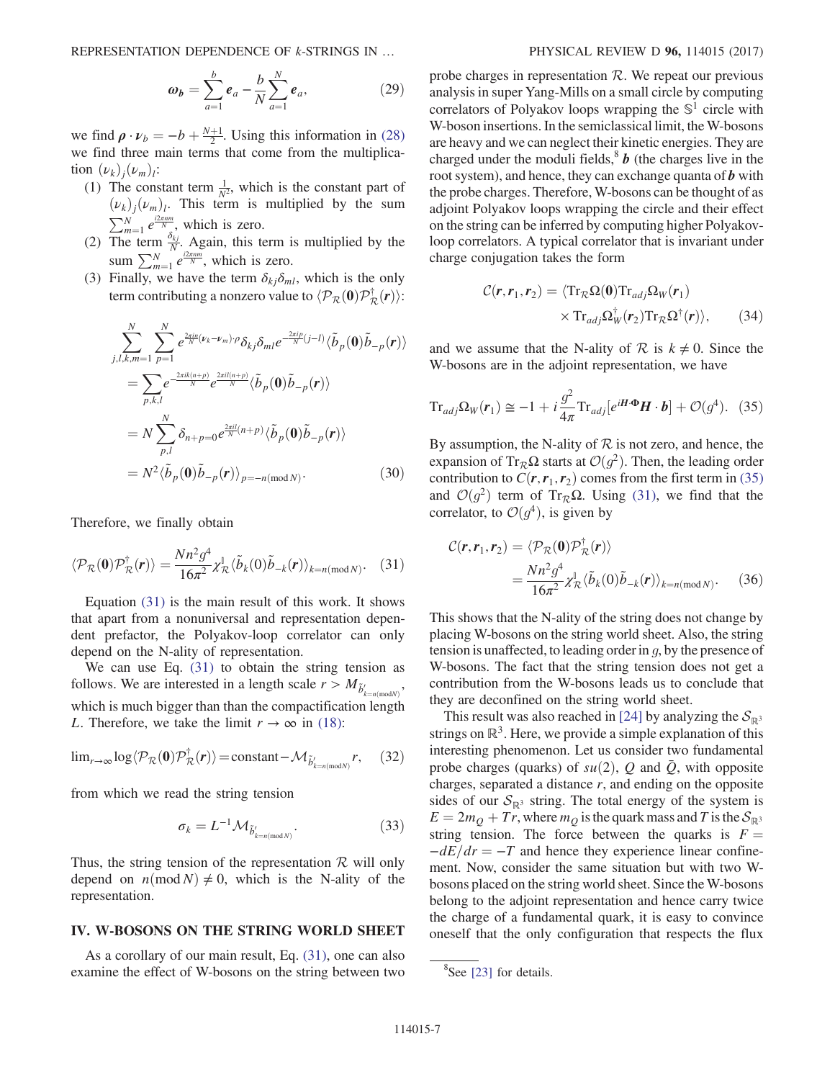REPRESENTATION DEPENDENCE OF *k*-STRINGS IN ... PHYSICAL REVIEW D **96**, 114015 (2017)

$$
\omega_b = \sum_{a=1}^{b} e_a - \frac{b}{N} \sum_{a=1}^{N} e_a,
$$
 (29)

we find  $\rho \cdot \nu_b = -b + \frac{N+1}{2}$ . Using this information in [\(28\)](#page-6-1) we find three main terms that come from the multiplication  $(\nu_k)_i(\nu_m)_i$ :

- (1) The constant term  $\frac{1}{N^2}$ , which is the constant part of  $(\nu_k)_i(\nu_m)_i$ . This term is multiplied by the sum  $\sum_{m=1}^{N} e^{\frac{i2\pi n m}{N}}$ , which is zero.<br>The term  $\frac{\delta_{kj}}{\Delta}$  Again, this to
- (2) The term  $\frac{\delta_{kj}}{N}$ . Again, this term is multiplied by the sum  $\sum_{m=1}^{N} e^{\frac{i2\pi n m}{N}}$ , which is zero.<br>Finally we have the term  $\delta_{\alpha}$ .
- (3) Finally, we have the term  $\delta_{ki}\delta_{ml}$ , which is the only term contributing a nonzero value to  $\langle \mathcal{P}_R(\mathbf{0}) \mathcal{P}_R^{\dagger}(\mathbf{r}) \rangle$ :

$$
\sum_{j,l,k,m=1}^{N} \sum_{p=1}^{N} e^{\frac{2\pi in}{N}(\nu_k - \nu_m)\cdot \rho} \delta_{kj} \delta_{ml} e^{-\frac{2\pi i p}{N}(j-l)} \langle \tilde{b}_p(\mathbf{0}) \tilde{b}_{-p}(\mathbf{r}) \rangle
$$
  
\n
$$
= \sum_{p,k,l} e^{-\frac{2\pi i k(n+p)}{N}} e^{\frac{2\pi i l(n+p)}{N}} \langle \tilde{b}_p(\mathbf{0}) \tilde{b}_{-p}(\mathbf{r}) \rangle
$$
  
\n
$$
= N \sum_{p,l}^{N} \delta_{n+p=0} e^{\frac{2\pi i l}{N}(n+p)} \langle \tilde{b}_p(\mathbf{0}) \tilde{b}_{-p}(\mathbf{r}) \rangle
$$
  
\n
$$
= N^2 \langle \tilde{b}_p(\mathbf{0}) \tilde{b}_{-p}(\mathbf{r}) \rangle_{p=-n \pmod{N}}.
$$
 (30)

<span id="page-7-1"></span>Therefore, we finally obtain

$$
\langle \mathcal{P}_{\mathcal{R}}(\mathbf{0}) \mathcal{P}_{\mathcal{R}}^{\dagger}(\mathbf{r}) \rangle = \frac{N n^2 g^4}{16\pi^2} \chi_{\mathcal{R}}^{\mathbb{I}} \langle \tilde{b}_k(0) \tilde{b}_{-k}(\mathbf{r}) \rangle_{k=n \text{(mod } N)}.
$$
 (31)

Equation [\(31\)](#page-7-1) is the main result of this work. It shows that apart from a nonuniversal and representation dependent prefactor, the Polyakov-loop correlator can only depend on the N-ality of representation.

We can use Eq. [\(31\)](#page-7-1) to obtain the string tension as follows. We are interested in a length scale  $r > M_{\tilde{b}'_{k=n(\text{mod}N)}}$ , which is much bigger than than the compactification length L. Therefore, we take the limit  $r \to \infty$  in [\(18\):](#page-5-3)

$$
\lim_{r \to \infty} \log \langle \mathcal{P}_{\mathcal{R}}(\mathbf{0}) \mathcal{P}_{\mathcal{R}}^{\dagger}(r) \rangle = \text{constant} - \mathcal{M}_{\tilde{b}'_{k=n(\text{mod}N)}} r, \quad (32)
$$

from which we read the string tension

$$
\sigma_k = L^{-1} \mathcal{M}_{\tilde{b}'_{k=n(\text{mod } N)}}.\tag{33}
$$

Thus, the string tension of the representation  $\mathcal R$  will only depend on  $n \text{ (mod } N) \neq 0$ , which is the N-ality of the representation.

#### <span id="page-7-0"></span>IV. W-BOSONS ON THE STRING WORLD SHEET

As a corollary of our main result, Eq. [\(31\),](#page-7-1) one can also examine the effect of W-bosons on the string between two

probe charges in representation  $R$ . We repeat our previous analysis in super Yang-Mills on a small circle by computing correlators of Polyakov loops wrapping the  $\mathbb{S}^1$  circle with W-boson insertions. In the semiclassical limit, the W-bosons are heavy and we can neglect their kinetic energies. They are charged under the moduli fields,  $b$  (the charges live in the root system), and hence, they can exchange quanta of  $\boldsymbol{b}$  with the probe charges. Therefore, W-bosons can be thought of as adjoint Polyakov loops wrapping the circle and their effect on the string can be inferred by computing higher Polyakovloop correlators. A typical correlator that is invariant under charge conjugation takes the form

$$
\mathcal{C}(\mathbf{r}, \mathbf{r}_1, \mathbf{r}_2) = \langle \text{Tr}_{\mathcal{R}} \Omega(\mathbf{0}) \text{Tr}_{adj} \Omega_W(\mathbf{r}_1) \times \text{Tr}_{adj} \Omega_W^{\dagger}(\mathbf{r}_2) \text{Tr}_{\mathcal{R}} \Omega^{\dagger}(\mathbf{r}) \rangle, \qquad (34)
$$

<span id="page-7-2"></span>and we assume that the N-ality of  $R$  is  $k \neq 0$ . Since the W-bosons are in the adjoint representation, we have

$$
\mathrm{Tr}_{adj}\Omega_W(\boldsymbol{r}_1) \cong -1 + i\frac{g^2}{4\pi} \mathrm{Tr}_{adj}[e^{i\boldsymbol{H}\cdot\boldsymbol{\Phi}}\boldsymbol{H}\cdot\boldsymbol{b}] + \mathcal{O}(g^4). \tag{35}
$$

By assumption, the N-ality of  $R$  is not zero, and hence, the expansion of Tr<sub>R</sub> $\Omega$  starts at  $\mathcal{O}(g^2)$ . Then, the leading order contribution to  $C(\mathbf{r},\mathbf{r}_1,\mathbf{r}_2)$  comes from the first term in [\(35\)](#page-7-2) and  $\mathcal{O}(g^2)$  term of Tr<sub>R</sub>Ω. Using [\(31\)](#page-7-1), we find that the correlator, to  $\mathcal{O}(q^4)$ , is given by

$$
\mathcal{C}(\mathbf{r}, \mathbf{r}_1, \mathbf{r}_2) = \langle \mathcal{P}_{\mathcal{R}}(\mathbf{0}) \mathcal{P}_{\mathcal{R}}^{\dagger}(\mathbf{r}) \rangle \n= \frac{N n^2 g^4}{16 \pi^2} \chi_{\mathcal{R}}^{\mathbb{I}} \langle \tilde{b}_k(0) \tilde{b}_{-k}(\mathbf{r}) \rangle_{k = n \pmod{N}}.
$$
\n(36)

This shows that the N-ality of the string does not change by placing W-bosons on the string world sheet. Also, the string tension is unaffected, to leading order in g, by the presence of W-bosons. The fact that the string tension does not get a contribution from the W-bosons leads us to conclude that they are deconfined on the string world sheet.

This result was also reached in [\[24\]](#page-9-11) by analyzing the  $S_{\mathbb{R}^3}$ strings on  $\mathbb{R}^3$ . Here, we provide a simple explanation of this interesting phenomenon. Let us consider two fundamental probe charges (quarks) of  $su(2)$ , Q and  $\overline{Q}$ , with opposite charges, separated a distance  $r$ , and ending on the opposite sides of our  $S_{\mathbb{R}^3}$  string. The total energy of the system is  $E = 2m<sub>O</sub> + Tr$ , where  $m<sub>O</sub>$  is the quark mass and T is the  $\mathcal{S}_{\mathbb{R}^3}$ string tension. The force between the quarks is  $F =$  $-dE/dr = -T$  and hence they experience linear confinement. Now, consider the same situation but with two Wbosons placed on the string world sheet. Since the W-bosons belong to the adjoint representation and hence carry twice the charge of a fundamental quark, it is easy to convince oneself that the only configuration that respects the flux

<sup>&</sup>lt;sup>8</sup>See [\[23\]](#page-9-12) for details.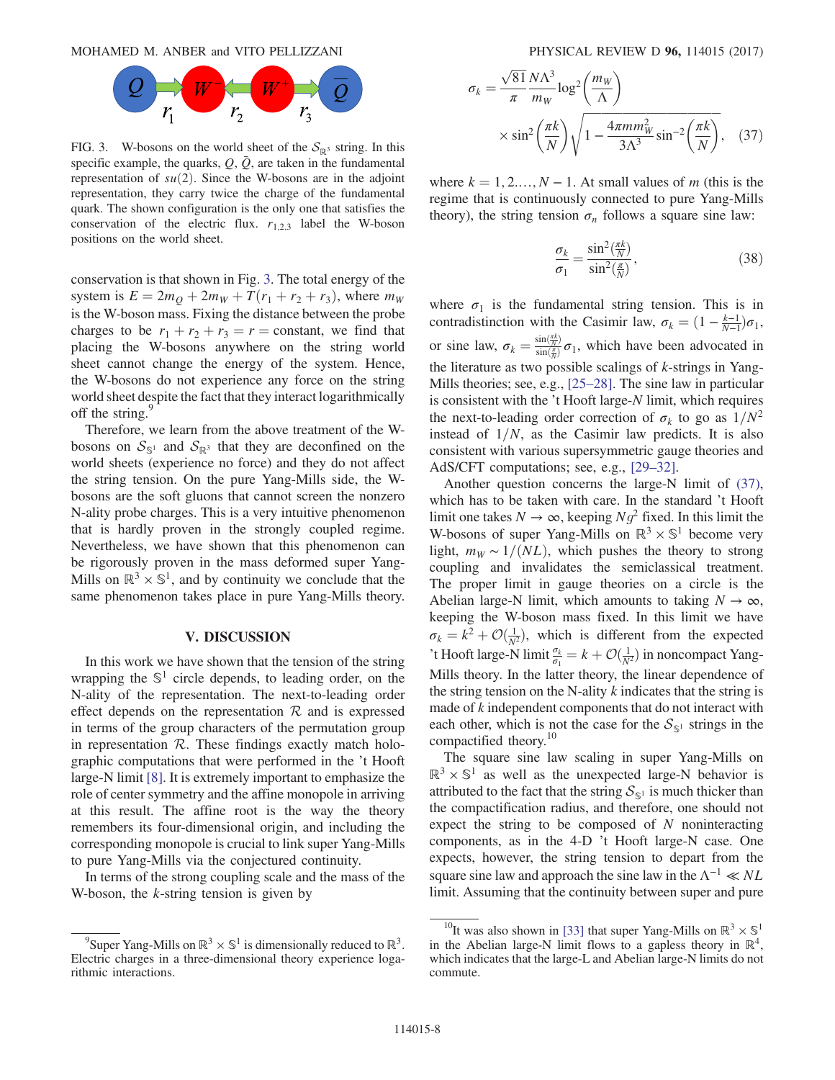<span id="page-8-1"></span>MOHAMED M. ANBER and VITO PELLIZZANI PHYSICAL REVIEW D 96, 114015 (2017)



FIG. 3. W-bosons on the world sheet of the  $S_{\mathbb{R}^3}$  string. In this specific example, the quarks,  $Q$ ,  $\overline{Q}$ , are taken in the fundamental representation of  $su(2)$ . Since the W-bosons are in the adjoint representation, they carry twice the charge of the fundamental quark. The shown configuration is the only one that satisfies the conservation of the electric flux.  $r_{1,2,3}$  label the W-boson positions on the world sheet.

conservation is that shown in Fig. [3](#page-8-1). The total energy of the system is  $E = 2m_O + 2m_W + T(r_1 + r_2 + r_3)$ , where  $m_W$ is the W-boson mass. Fixing the distance between the probe charges to be  $r_1 + r_2 + r_3 = r$  = constant, we find that placing the W-bosons anywhere on the string world sheet cannot change the energy of the system. Hence, the W-bosons do not experience any force on the string world sheet despite the fact that they interact logarithmically off the string. $\frac{5}{3}$ 

Therefore, we learn from the above treatment of the Wbosons on  $S_{\mathbb{S}^1}$  and  $S_{\mathbb{R}^3}$  that they are deconfined on the world sheets (experience no force) and they do not affect the string tension. On the pure Yang-Mills side, the Wbosons are the soft gluons that cannot screen the nonzero N-ality probe charges. This is a very intuitive phenomenon that is hardly proven in the strongly coupled regime. Nevertheless, we have shown that this phenomenon can be rigorously proven in the mass deformed super Yang-Mills on  $\mathbb{R}^3 \times \mathbb{S}^1$ , and by continuity we conclude that the same phenomenon takes place in pure Yang-Mills theory.

#### V. DISCUSSION

<span id="page-8-0"></span>In this work we have shown that the tension of the string wrapping the  $\mathbb{S}^1$  circle depends, to leading order, on the N-ality of the representation. The next-to-leading order effect depends on the representation  $R$  and is expressed in terms of the group characters of the permutation group in representation  $R$ . These findings exactly match holographic computations that were performed in the 't Hooft large-N limit [\[8\]](#page-9-3). It is extremely important to emphasize the role of center symmetry and the affine monopole in arriving at this result. The affine root is the way the theory remembers its four-dimensional origin, and including the corresponding monopole is crucial to link super Yang-Mills to pure Yang-Mills via the conjectured continuity.

<span id="page-8-2"></span>In terms of the strong coupling scale and the mass of the W-boson, the  $k$ -string tension is given by

$$
\sigma_k = \frac{\sqrt{81} N \Lambda^3}{\pi} \log^2 \left(\frac{m_W}{\Lambda}\right)
$$

$$
\times \sin^2 \left(\frac{\pi k}{N}\right) \sqrt{1 - \frac{4\pi m m_W^2}{3\Lambda^3} \sin^{-2} \left(\frac{\pi k}{N}\right)}, \quad (37)
$$

where  $k = 1, 2, \ldots, N - 1$ . At small values of m (this is the regime that is continuously connected to pure Yang-Mills theory), the string tension  $\sigma_n$  follows a square sine law:

$$
\frac{\sigma_k}{\sigma_1} = \frac{\sin^2(\frac{\pi k}{N})}{\sin^2(\frac{\pi}{N})},\tag{38}
$$

where  $\sigma_1$  is the fundamental string tension. This is in contradistinction with the Casimir law,  $\sigma_k = (1 - \frac{k-1}{N-1})\sigma_1$ , or sine law,  $\sigma_k = \frac{\sin(\frac{\pi k}{N})}{\sin(\frac{\pi}{N})} \sigma_1$ , which have been advocated in the literature as two possible scalings of  $k$ -strings in Yang-Mills theories; see, e.g., [\[25](#page-9-13)–28]. The sine law in particular is consistent with the 't Hooft large-N limit, which requires the next-to-leading order correction of  $\sigma_k$  to go as  $1/N^2$ instead of  $1/N$ , as the Casimir law predicts. It is also consistent with various supersymmetric gauge theories and AdS/CFT computations; see, e.g., [\[29](#page-10-0)–32].

Another question concerns the large-N limit of [\(37\)](#page-8-2), which has to be taken with care. In the standard 't Hooft limit one takes  $N \to \infty$ , keeping  $Ng^2$  fixed. In this limit the W-bosons of super Yang-Mills on  $\mathbb{R}^3 \times \mathbb{S}^1$  become very light,  $m_W \sim 1/(NL)$ , which pushes the theory to strong coupling and invalidates the semiclassical treatment. The proper limit in gauge theories on a circle is the Abelian large-N limit, which amounts to taking  $N \to \infty$ , keeping the W-boson mass fixed. In this limit we have  $\sigma_k = k^2 + \mathcal{O}(\frac{1}{N^2})$ , which is different from the expected<br>  $\mathcal{O}(k^2)$ . Heathlange Milimit  $\mathcal{I}_k = k + \mathcal{O}(1)$  is noncompact Vance 't Hooft large-N limit  $\frac{\sigma_k}{\sigma_1} = k + \mathcal{O}(\frac{1}{N^2})$  in noncompact Yang-Mills theory. In the latter theory, the linear dependence of the string tension on the N-ality  $k$  indicates that the string is made of k independent components that do not interact with each other, which is not the case for the  $S_{\mathbb{S}^1}$  strings in the compactified theory.<sup>10</sup>

The square sine law scaling in super Yang-Mills on  $\mathbb{R}^3 \times \mathbb{S}^1$  as well as the unexpected large-N behavior is attributed to the fact that the string  $S_{\mathbb{S}^1}$  is much thicker than the compactification radius, and therefore, one should not expect the string to be composed of  $N$  noninteracting components, as in the 4-D 't Hooft large-N case. One expects, however, the string tension to depart from the square sine law and approach the sine law in the  $\Lambda^{-1} \ll NL$ limit. Assuming that the continuity between super and pure

<sup>&</sup>lt;sup>9</sup>Super Yang-Mills on  $\mathbb{R}^3 \times \mathbb{S}^1$  is dimensionally reduced to  $\mathbb{R}^3$ . Electric charges in a three-dimensional theory experience logarithmic interactions.

<sup>&</sup>lt;sup>10</sup>It was also shown in [\[33\]](#page-10-1) that super Yang-Mills on  $\mathbb{R}^3 \times \mathbb{S}^1$ in the Abelian large-N limit flows to a gapless theory in  $\mathbb{R}^4$ , which indicates that the large-L and Abelian large-N limits do not commute.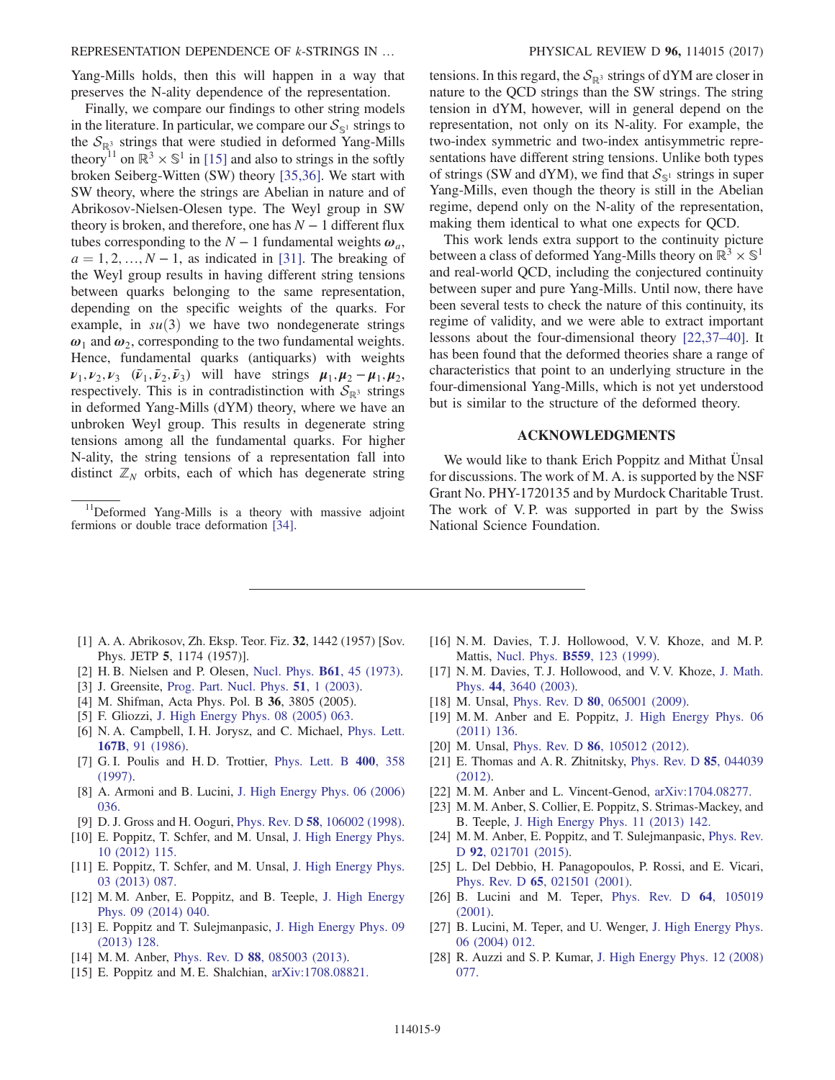Yang-Mills holds, then this will happen in a way that preserves the N-ality dependence of the representation.

Finally, we compare our findings to other string models in the literature. In particular, we compare our  $S_{\mathcal{S}^1}$  strings to the  $S_{\mathbb{R}^3}$  strings that were studied in deformed Yang-Mills theory<sup>11</sup> on  $\mathbb{R}^3 \times \mathbb{S}^1$  in [\[15\]](#page-9-8) and also to strings in the softly broken Seiberg-Witten (SW) theory [\[35,36\]](#page-10-2). We start with SW theory, where the strings are Abelian in nature and of Abrikosov-Nielsen-Olesen type. The Weyl group in SW theory is broken, and therefore, one has  $N - 1$  different flux tubes corresponding to the  $N-1$  fundamental weights  $\omega_a$ ,  $a = 1, 2, \ldots, N - 1$ , as indicated in [\[31\]](#page-10-3). The breaking of the Weyl group results in having different string tensions between quarks belonging to the same representation, depending on the specific weights of the quarks. For example, in  $su(3)$  we have two nondegenerate strings  $\omega_1$  and  $\omega_2$ , corresponding to the two fundamental weights. Hence, fundamental quarks (antiquarks) with weights  $v_1, v_2, v_3$  ( $\bar{v}_1, \bar{v}_2, \bar{v}_3$ ) will have strings  $\mu_1, \mu_2 - \mu_1, \mu_2$ , respectively. This is in contradistinction with  $S_{\mathbb{R}^3}$  strings in deformed Yang-Mills (dYM) theory, where we have an unbroken Weyl group. This results in degenerate string tensions among all the fundamental quarks. For higher N-ality, the string tensions of a representation fall into distinct  $\mathbb{Z}_N$  orbits, each of which has degenerate string

<sup>11</sup>Deformed Yang-Mills is a theory with massive adjoint fermions or double trace deformation [\[34\]](#page-10-4).

tensions. In this regard, the  $S_{\mathbb{R}^3}$  strings of dYM are closer in nature to the QCD strings than the SW strings. The string tension in dYM, however, will in general depend on the representation, not only on its N-ality. For example, the two-index symmetric and two-index antisymmetric representations have different string tensions. Unlike both types of strings (SW and dYM), we find that  $S_{\mathbb{S}^1}$  strings in super Yang-Mills, even though the theory is still in the Abelian regime, depend only on the N-ality of the representation, making them identical to what one expects for QCD.

This work lends extra support to the continuity picture between a class of deformed Yang-Mills theory on  $\mathbb{R}^3 \times \mathbb{S}^1$ and real-world QCD, including the conjectured continuity between super and pure Yang-Mills. Until now, there have been several tests to check the nature of this continuity, its regime of validity, and we were able to extract important lessons about the four-dimensional theory [\[22,37](#page-9-9)–40]. It has been found that the deformed theories share a range of characteristics that point to an underlying structure in the four-dimensional Yang-Mills, which is not yet understood but is similar to the structure of the deformed theory.

#### ACKNOWLEDGMENTS

We would like to thank Erich Poppitz and Mithat Ünsal for discussions. The work of M. A. is supported by the NSF Grant No. PHY-1720135 and by Murdock Charitable Trust. The work of V. P. was supported in part by the Swiss National Science Foundation.

- <span id="page-9-0"></span>[1] A. A. Abrikosov, Zh. Eksp. Teor. Fiz. 32, 1442 (1957) [Sov. Phys. JETP 5, 1174 (1957)].
- [2] H. B. Nielsen and P. Olesen, [Nucl. Phys.](https://doi.org/10.1016/0550-3213(73)90350-7) B61, 45 (1973).
- <span id="page-9-1"></span>[3] J. Greensite, [Prog. Part. Nucl. Phys.](https://doi.org/10.1016/S0146-6410(03)90012-3) **51**, 1 (2003).
- [4] M. Shifman, Acta Phys. Pol. B 36, 3805 (2005).
- <span id="page-9-2"></span>[5] F. Gliozzi, [J. High Energy Phys. 08 \(2005\) 063.](https://doi.org/10.1088/1126-6708/2005/08/063)
- <span id="page-9-10"></span>[6] N. A. Campbell, I. H. Jorysz, and C. Michael, [Phys. Lett.](https://doi.org/10.1016/0370-2693(86)90552-6) 167B[, 91 \(1986\)](https://doi.org/10.1016/0370-2693(86)90552-6).
- [7] G. I. Poulis and H. D. Trottier, [Phys. Lett. B](https://doi.org/10.1016/S0370-2693(97)88182-8) 400, 358 [\(1997\).](https://doi.org/10.1016/S0370-2693(97)88182-8)
- <span id="page-9-3"></span>[8] A. Armoni and B. Lucini, [J. High Energy Phys. 06 \(2006\)](https://doi.org/10.1088/1126-6708/2006/06/036) [036.](https://doi.org/10.1088/1126-6708/2006/06/036)
- <span id="page-9-5"></span><span id="page-9-4"></span>[9] D. J. Gross and H. Ooguri, Phys. Rev. D 58[, 106002 \(1998\).](https://doi.org/10.1103/PhysRevD.58.106002)
- [10] E. Poppitz, T. Schfer, and M. Unsal, [J. High Energy Phys.](https://doi.org/10.1007/JHEP10(2012)115) [10 \(2012\) 115.](https://doi.org/10.1007/JHEP10(2012)115)
- [11] E. Poppitz, T. Schfer, and M. Unsal, [J. High Energy Phys.](https://doi.org/10.1007/JHEP03(2013)087) [03 \(2013\) 087.](https://doi.org/10.1007/JHEP03(2013)087)
- <span id="page-9-7"></span>[12] M. M. Anber, E. Poppitz, and B. Teeple, [J. High Energy](https://doi.org/10.1007/JHEP09(2014)040) [Phys. 09 \(2014\) 040.](https://doi.org/10.1007/JHEP09(2014)040)
- [13] E. Poppitz and T. Sulejmanpasic, [J. High Energy Phys. 09](https://doi.org/10.1007/JHEP09(2013)128) [\(2013\) 128.](https://doi.org/10.1007/JHEP09(2013)128)
- <span id="page-9-8"></span><span id="page-9-6"></span>[14] M. M. Anber, Phys. Rev. D **88**[, 085003 \(2013\)](https://doi.org/10.1103/PhysRevD.88.085003).
- [15] E. Poppitz and M. E. Shalchian, [arXiv:1708.08821.](http://arXiv.org/abs/1708.08821)
- [16] N. M. Davies, T. J. Hollowood, V. V. Khoze, and M. P. Mattis, Nucl. Phys. B559[, 123 \(1999\).](https://doi.org/10.1016/S0550-3213(99)00434-4)
- [17] N. M. Davies, T. J. Hollowood, and V. V. Khoze, [J. Math.](https://doi.org/10.1063/1.1586477) Phys. 44[, 3640 \(2003\).](https://doi.org/10.1063/1.1586477)
- [18] M. Unsal, Phys. Rev. D **80**[, 065001 \(2009\)](https://doi.org/10.1103/PhysRevD.80.065001).
- [19] M. M. Anber and E. Poppitz, [J. High Energy Phys. 06](https://doi.org/10.1007/JHEP06(2011)136) [\(2011\) 136.](https://doi.org/10.1007/JHEP06(2011)136)
- [20] M. Unsal, Phys. Rev. D **86**[, 105012 \(2012\)](https://doi.org/10.1103/PhysRevD.86.105012).
- [21] E. Thomas and A. R. Zhitnitsky, [Phys. Rev. D](https://doi.org/10.1103/PhysRevD.85.044039) 85, 044039 [\(2012\).](https://doi.org/10.1103/PhysRevD.85.044039)
- <span id="page-9-9"></span>[22] M. M. Anber and L. Vincent-Genod, [arXiv:1704.08277.](http://arXiv.org/abs/1704.08277)
- <span id="page-9-12"></span>[23] M. M. Anber, S. Collier, E. Poppitz, S. Strimas-Mackey, and B. Teeple, [J. High Energy Phys. 11 \(2013\) 142.](https://doi.org/10.1007/JHEP11(2013)142)
- <span id="page-9-11"></span>[24] M. M. Anber, E. Poppitz, and T. Sulejmanpasic, [Phys. Rev.](https://doi.org/10.1103/PhysRevD.92.021701) D 92[, 021701 \(2015\)](https://doi.org/10.1103/PhysRevD.92.021701).
- <span id="page-9-13"></span>[25] L. Del Debbio, H. Panagopoulos, P. Rossi, and E. Vicari, Phys. Rev. D 65[, 021501 \(2001\)](https://doi.org/10.1103/PhysRevD.65.021501).
- [26] B. Lucini and M. Teper, [Phys. Rev. D](https://doi.org/10.1103/PhysRevD.64.105019) 64, 105019 [\(2001\).](https://doi.org/10.1103/PhysRevD.64.105019)
- [27] B. Lucini, M. Teper, and U. Wenger, [J. High Energy Phys.](https://doi.org/10.1088/1126-6708/2004/06/012) [06 \(2004\) 012.](https://doi.org/10.1088/1126-6708/2004/06/012)
- [28] R. Auzzi and S. P. Kumar, [J. High Energy Phys. 12 \(2008\)](https://doi.org/10.1088/1126-6708/2008/12/077) [077.](https://doi.org/10.1088/1126-6708/2008/12/077)